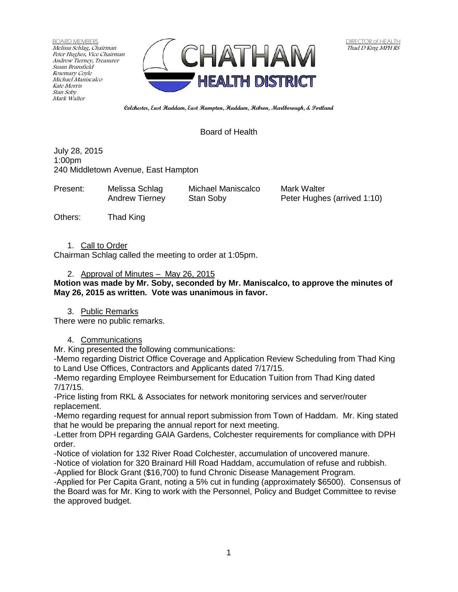BOARD MEMBERS Melissa Schlag, Chairman Peter Hughes, Vice Chairman Andrew Tierney, Treasurer Susan Bransfield Rosemary Coyle Michael Maniscalco Kate Morris Stan Soby Mark Walter



**Colchester, East Haddam, East Hampton, Haddam, Hebron, Marlborough, & Portland**

## Board of Health

July 28, 2015 1:00pm 240 Middletown Avenue, East Hampton

| Present: | Melissa Schlag        | Michael Maniscalco | Mark Walter                 |
|----------|-----------------------|--------------------|-----------------------------|
|          | <b>Andrew Tierney</b> | Stan Soby          | Peter Hughes (arrived 1:10) |

- Others: Thad King
	- 1. Call to Order

Chairman Schlag called the meeting to order at 1:05pm.

### 2. Approval of Minutes – May 26, 2015

### **Motion was made by Mr. Soby, seconded by Mr. Maniscalco, to approve the minutes of May 26, 2015 as written. Vote was unanimous in favor.**

3. Public Remarks

There were no public remarks.

### 4. Communications

Mr. King presented the following communications:

-Memo regarding District Office Coverage and Application Review Scheduling from Thad King to Land Use Offices, Contractors and Applicants dated 7/17/15.

-Memo regarding Employee Reimbursement for Education Tuition from Thad King dated 7/17/15.

-Price listing from RKL & Associates for network monitoring services and server/router replacement.

-Memo regarding request for annual report submission from Town of Haddam. Mr. King stated that he would be preparing the annual report for next meeting.

-Letter from DPH regarding GAIA Gardens, Colchester requirements for compliance with DPH order.

-Notice of violation for 132 River Road Colchester, accumulation of uncovered manure.

-Notice of violation for 320 Brainard Hill Road Haddam, accumulation of refuse and rubbish.

-Applied for Block Grant (\$16,700) to fund Chronic Disease Management Program.

-Applied for Per Capita Grant, noting a 5% cut in funding (approximately \$6500). Consensus of the Board was for Mr. King to work with the Personnel, Policy and Budget Committee to revise the approved budget.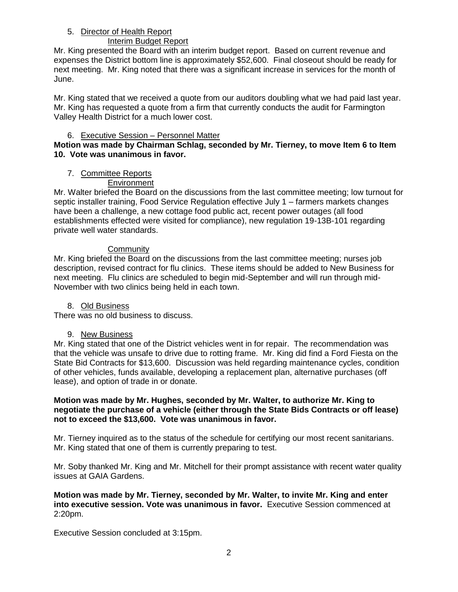## 5. Director of Health Report

## Interim Budget Report

Mr. King presented the Board with an interim budget report. Based on current revenue and expenses the District bottom line is approximately \$52,600. Final closeout should be ready for next meeting. Mr. King noted that there was a significant increase in services for the month of June.

Mr. King stated that we received a quote from our auditors doubling what we had paid last year. Mr. King has requested a quote from a firm that currently conducts the audit for Farmington Valley Health District for a much lower cost.

## 6. Executive Session – Personnel Matter

### **Motion was made by Chairman Schlag, seconded by Mr. Tierney, to move Item 6 to Item 10. Vote was unanimous in favor.**

# 7. Committee Reports

# **Environment**

Mr. Walter briefed the Board on the discussions from the last committee meeting; low turnout for septic installer training, Food Service Regulation effective July 1 – farmers markets changes have been a challenge, a new cottage food public act, recent power outages (all food establishments effected were visited for compliance), new regulation 19-13B-101 regarding private well water standards.

## **Community**

Mr. King briefed the Board on the discussions from the last committee meeting; nurses job description, revised contract for flu clinics. These items should be added to New Business for next meeting. Flu clinics are scheduled to begin mid-September and will run through mid-November with two clinics being held in each town.

# 8. Old Business

There was no old business to discuss.

# 9. New Business

Mr. King stated that one of the District vehicles went in for repair. The recommendation was that the vehicle was unsafe to drive due to rotting frame. Mr. King did find a Ford Fiesta on the State Bid Contracts for \$13,600. Discussion was held regarding maintenance cycles, condition of other vehicles, funds available, developing a replacement plan, alternative purchases (off lease), and option of trade in or donate.

### **Motion was made by Mr. Hughes, seconded by Mr. Walter, to authorize Mr. King to negotiate the purchase of a vehicle (either through the State Bids Contracts or off lease) not to exceed the \$13,600. Vote was unanimous in favor.**

Mr. Tierney inquired as to the status of the schedule for certifying our most recent sanitarians. Mr. King stated that one of them is currently preparing to test.

Mr. Soby thanked Mr. King and Mr. Mitchell for their prompt assistance with recent water quality issues at GAIA Gardens.

### **Motion was made by Mr. Tierney, seconded by Mr. Walter, to invite Mr. King and enter into executive session. Vote was unanimous in favor.** Executive Session commenced at 2:20pm.

Executive Session concluded at 3:15pm.